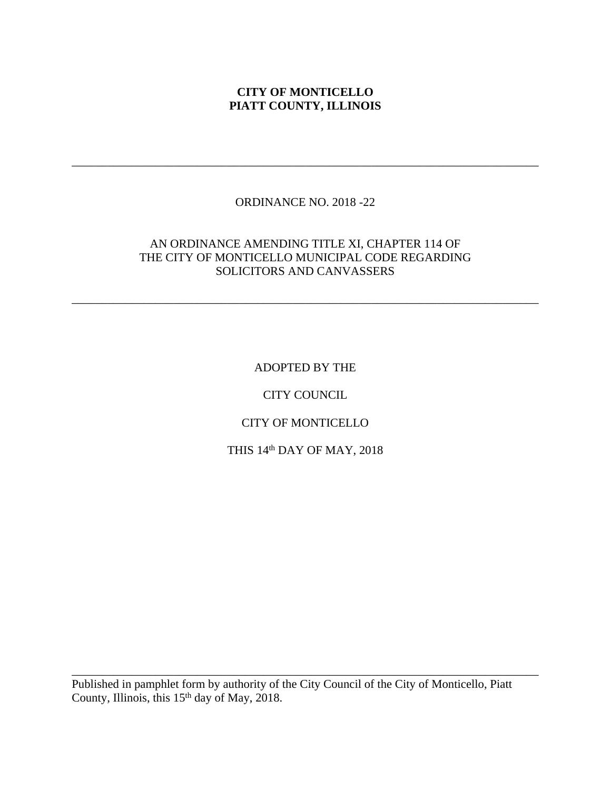#### **CITY OF MONTICELLO PIATT COUNTY, ILLINOIS**

# ORDINANCE NO. 2018 -22

\_\_\_\_\_\_\_\_\_\_\_\_\_\_\_\_\_\_\_\_\_\_\_\_\_\_\_\_\_\_\_\_\_\_\_\_\_\_\_\_\_\_\_\_\_\_\_\_\_\_\_\_\_\_\_\_\_\_\_\_\_\_\_\_\_\_\_\_\_\_\_\_\_\_\_\_\_\_

#### AN ORDINANCE AMENDING TITLE XI, CHAPTER 114 OF THE CITY OF MONTICELLO MUNICIPAL CODE REGARDING SOLICITORS AND CANVASSERS

\_\_\_\_\_\_\_\_\_\_\_\_\_\_\_\_\_\_\_\_\_\_\_\_\_\_\_\_\_\_\_\_\_\_\_\_\_\_\_\_\_\_\_\_\_\_\_\_\_\_\_\_\_\_\_\_\_\_\_\_\_\_\_\_\_\_\_\_\_\_\_\_\_\_\_\_\_\_

ADOPTED BY THE

CITY COUNCIL

CITY OF MONTICELLO

THIS 14th DAY OF MAY, 2018

Published in pamphlet form by authority of the City Council of the City of Monticello, Piatt County, Illinois, this 15<sup>th</sup> day of May, 2018.

\_\_\_\_\_\_\_\_\_\_\_\_\_\_\_\_\_\_\_\_\_\_\_\_\_\_\_\_\_\_\_\_\_\_\_\_\_\_\_\_\_\_\_\_\_\_\_\_\_\_\_\_\_\_\_\_\_\_\_\_\_\_\_\_\_\_\_\_\_\_\_\_\_\_\_\_\_\_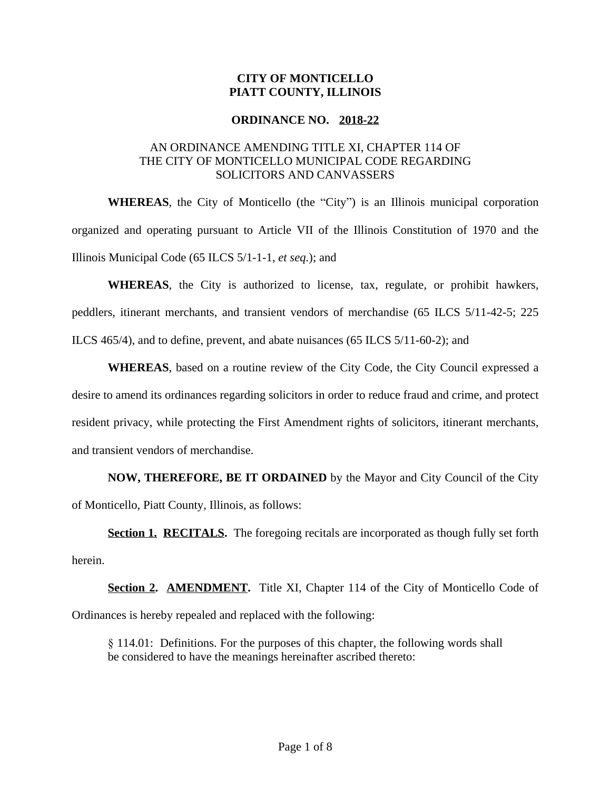# **CITY OF MONTICELLO PIATT COUNTY, ILLINOIS**

#### **ORDINANCE NO. 2018-22**

# AN ORDINANCE AMENDING TITLE XI, CHAPTER 114 OF THE CITY OF MONTICELLO MUNICIPAL CODE REGARDING SOLICITORS AND CANVASSERS

**WHEREAS**, the City of Monticello (the "City") is an Illinois municipal corporation organized and operating pursuant to Article VII of the Illinois Constitution of 1970 and the Illinois Municipal Code (65 ILCS 5/1-1-1, *et seq.*); and

**WHEREAS**, the City is authorized to license, tax, regulate, or prohibit hawkers, peddlers, itinerant merchants, and transient vendors of merchandise (65 ILCS 5/11-42-5; 225 ILCS 465/4), and to define, prevent, and abate nuisances (65 ILCS 5/11-60-2); and

**WHEREAS**, based on a routine review of the City Code, the City Council expressed a desire to amend its ordinances regarding solicitors in order to reduce fraud and crime, and protect resident privacy, while protecting the First Amendment rights of solicitors, itinerant merchants, and transient vendors of merchandise.

**NOW, THEREFORE, BE IT ORDAINED** by the Mayor and City Council of the City of Monticello, Piatt County, Illinois, as follows:

**Section 1. RECITALS.** The foregoing recitals are incorporated as though fully set forth herein.

**Section 2. AMENDMENT.** Title XI, Chapter 114 of the City of Monticello Code of Ordinances is hereby repealed and replaced with the following:

§ 114.01: Definitions. For the purposes of this chapter, the following words shall be considered to have the meanings hereinafter ascribed thereto: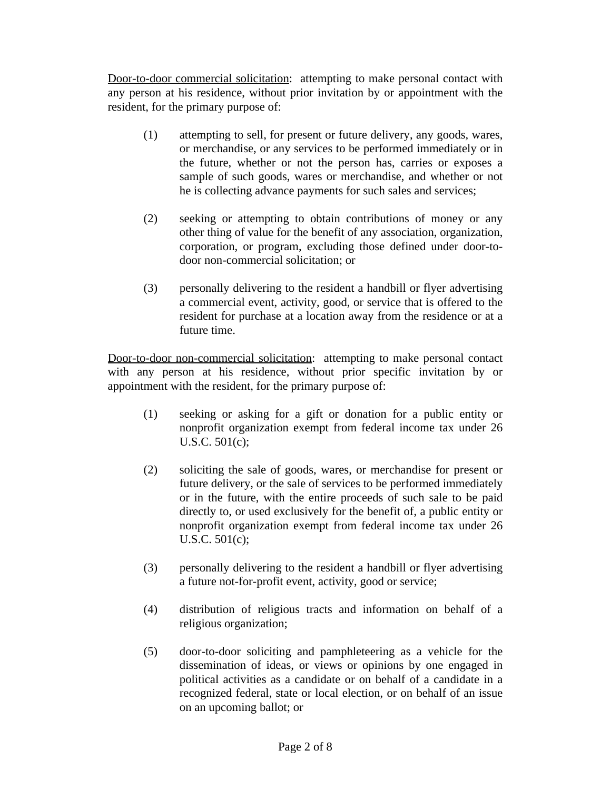Door-to-door commercial solicitation: attempting to make personal contact with any person at his residence, without prior invitation by or appointment with the resident, for the primary purpose of:

- (1) attempting to sell, for present or future delivery, any goods, wares, or merchandise, or any services to be performed immediately or in the future, whether or not the person has, carries or exposes a sample of such goods, wares or merchandise, and whether or not he is collecting advance payments for such sales and services;
- (2) seeking or attempting to obtain contributions of money or any other thing of value for the benefit of any association, organization, corporation, or program, excluding those defined under door-todoor non-commercial solicitation; or
- (3) personally delivering to the resident a handbill or flyer advertising a commercial event, activity, good, or service that is offered to the resident for purchase at a location away from the residence or at a future time.

Door-to-door non-commercial solicitation: attempting to make personal contact with any person at his residence, without prior specific invitation by or appointment with the resident, for the primary purpose of:

- (1) seeking or asking for a gift or donation for a public entity or nonprofit organization exempt from federal income tax under 26 U.S.C. 501(c);
- (2) soliciting the sale of goods, wares, or merchandise for present or future delivery, or the sale of services to be performed immediately or in the future, with the entire proceeds of such sale to be paid directly to, or used exclusively for the benefit of, a public entity or nonprofit organization exempt from federal income tax under 26 U.S.C. 501(c);
- (3) personally delivering to the resident a handbill or flyer advertising a future not-for-profit event, activity, good or service;
- (4) distribution of religious tracts and information on behalf of a religious organization;
- (5) door-to-door soliciting and pamphleteering as a vehicle for the dissemination of ideas, or views or opinions by one engaged in political activities as a candidate or on behalf of a candidate in a recognized federal, state or local election, or on behalf of an issue on an upcoming ballot; or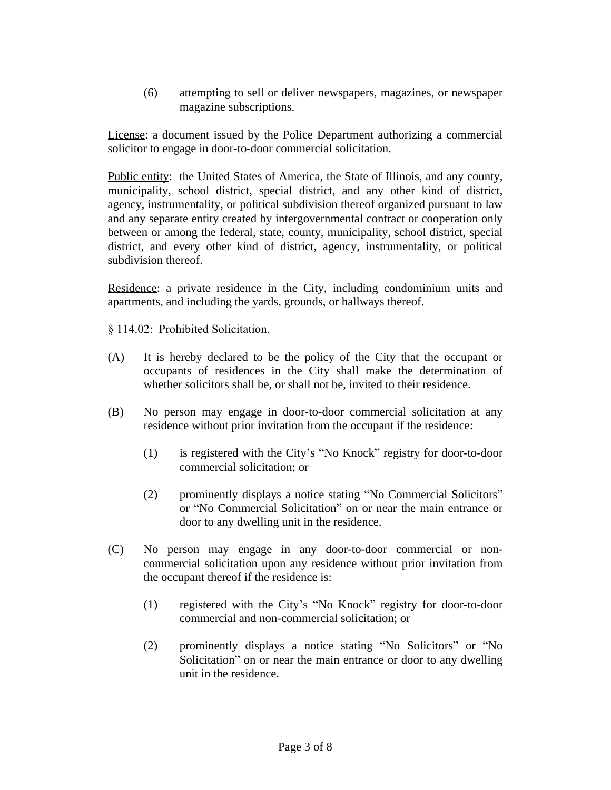(6) attempting to sell or deliver newspapers, magazines, or newspaper magazine subscriptions.

License: a document issued by the Police Department authorizing a commercial solicitor to engage in door-to-door commercial solicitation.

Public entity: the United States of America, the State of Illinois, and any county, municipality, school district, special district, and any other kind of district, agency, instrumentality, or political subdivision thereof organized pursuant to law and any separate entity created by intergovernmental contract or cooperation only between or among the federal, state, county, municipality, school district, special district, and every other kind of district, agency, instrumentality, or political subdivision thereof.

Residence: a private residence in the City, including condominium units and apartments, and including the yards, grounds, or hallways thereof.

§ 114.02: Prohibited Solicitation.

- (A) It is hereby declared to be the policy of the City that the occupant or occupants of residences in the City shall make the determination of whether solicitors shall be, or shall not be, invited to their residence.
- (B) No person may engage in door-to-door commercial solicitation at any residence without prior invitation from the occupant if the residence:
	- (1) is registered with the City's "No Knock" registry for door-to-door commercial solicitation; or
	- (2) prominently displays a notice stating "No Commercial Solicitors" or "No Commercial Solicitation" on or near the main entrance or door to any dwelling unit in the residence.
- (C) No person may engage in any door-to-door commercial or noncommercial solicitation upon any residence without prior invitation from the occupant thereof if the residence is:
	- (1) registered with the City's "No Knock" registry for door-to-door commercial and non-commercial solicitation; or
	- (2) prominently displays a notice stating "No Solicitors" or "No Solicitation" on or near the main entrance or door to any dwelling unit in the residence.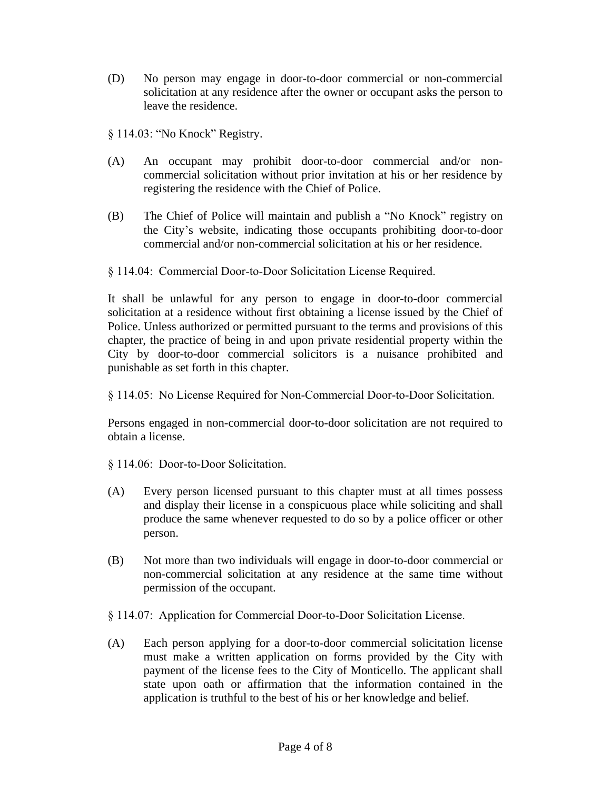(D) No person may engage in door-to-door commercial or non-commercial solicitation at any residence after the owner or occupant asks the person to leave the residence.

§ 114.03: "No Knock" Registry.

- (A) An occupant may prohibit door-to-door commercial and/or noncommercial solicitation without prior invitation at his or her residence by registering the residence with the Chief of Police.
- (B) The Chief of Police will maintain and publish a "No Knock" registry on the City's website, indicating those occupants prohibiting door-to-door commercial and/or non-commercial solicitation at his or her residence.
- § 114.04: Commercial Door-to-Door Solicitation License Required.

It shall be unlawful for any person to engage in door-to-door commercial solicitation at a residence without first obtaining a license issued by the Chief of Police. Unless authorized or permitted pursuant to the terms and provisions of this chapter, the practice of being in and upon private residential property within the City by door-to-door commercial solicitors is a nuisance prohibited and punishable as set forth in this chapter.

§ 114.05: No License Required for Non-Commercial Door-to-Door Solicitation.

Persons engaged in non-commercial door-to-door solicitation are not required to obtain a license.

§ 114.06: Door-to-Door Solicitation.

- (A) Every person licensed pursuant to this chapter must at all times possess and display their license in a conspicuous place while soliciting and shall produce the same whenever requested to do so by a police officer or other person.
- (B) Not more than two individuals will engage in door-to-door commercial or non-commercial solicitation at any residence at the same time without permission of the occupant.
- § 114.07: Application for Commercial Door-to-Door Solicitation License.
- (A) Each person applying for a door-to-door commercial solicitation license must make a written application on forms provided by the City with payment of the license fees to the City of Monticello. The applicant shall state upon oath or affirmation that the information contained in the application is truthful to the best of his or her knowledge and belief.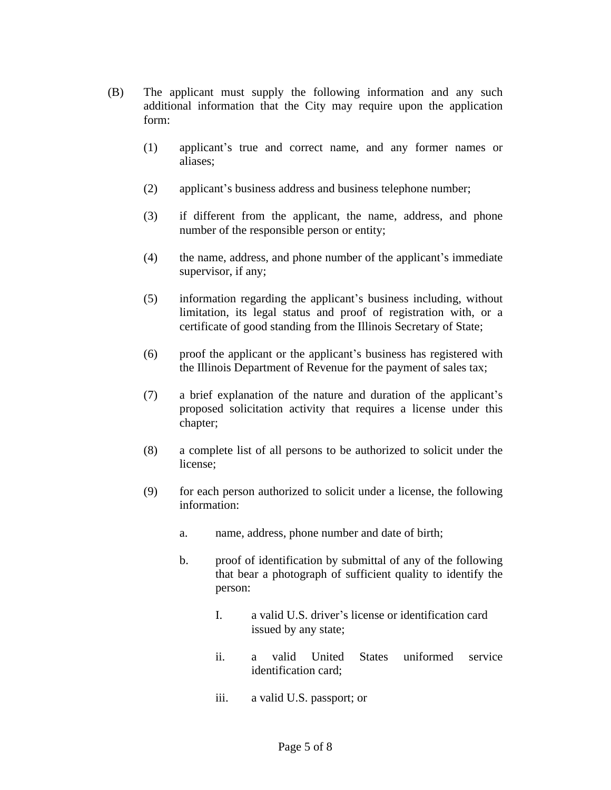- (B) The applicant must supply the following information and any such additional information that the City may require upon the application form:
	- (1) applicant's true and correct name, and any former names or aliases;
	- (2) applicant's business address and business telephone number;
	- (3) if different from the applicant, the name, address, and phone number of the responsible person or entity;
	- (4) the name, address, and phone number of the applicant's immediate supervisor, if any;
	- (5) information regarding the applicant's business including, without limitation, its legal status and proof of registration with, or a certificate of good standing from the Illinois Secretary of State;
	- (6) proof the applicant or the applicant's business has registered with the Illinois Department of Revenue for the payment of sales tax;
	- (7) a brief explanation of the nature and duration of the applicant's proposed solicitation activity that requires a license under this chapter;
	- (8) a complete list of all persons to be authorized to solicit under the license;
	- (9) for each person authorized to solicit under a license, the following information:
		- a. name, address, phone number and date of birth;
		- b. proof of identification by submittal of any of the following that bear a photograph of sufficient quality to identify the person:
			- I. a valid U.S. driver's license or identification card issued by any state;
			- ii. a valid United States uniformed service identification card;
			- iii. a valid U.S. passport; or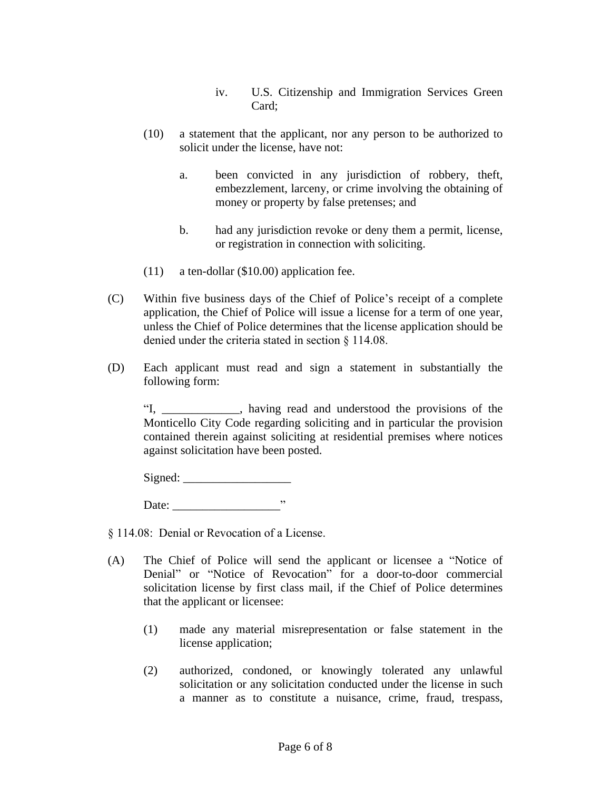- iv. U.S. Citizenship and Immigration Services Green Card;
- (10) a statement that the applicant, nor any person to be authorized to solicit under the license, have not:
	- a. been convicted in any jurisdiction of robbery, theft, embezzlement, larceny, or crime involving the obtaining of money or property by false pretenses; and
	- b. had any jurisdiction revoke or deny them a permit, license, or registration in connection with soliciting.
- (11) a ten-dollar (\$10.00) application fee.
- (C) Within five business days of the Chief of Police's receipt of a complete application, the Chief of Police will issue a license for a term of one year, unless the Chief of Police determines that the license application should be denied under the criteria stated in section § 114.08.
- (D) Each applicant must read and sign a statement in substantially the following form:

"I, \_\_\_\_\_\_\_\_\_\_\_\_\_, having read and understood the provisions of the Monticello City Code regarding soliciting and in particular the provision contained therein against soliciting at residential premises where notices against solicitation have been posted.

 $Signed:$ 

Date: \_\_\_\_\_\_\_\_\_\_\_\_\_\_\_\_\_\_"

§ 114.08: Denial or Revocation of a License.

- (A) The Chief of Police will send the applicant or licensee a "Notice of Denial" or "Notice of Revocation" for a door-to-door commercial solicitation license by first class mail, if the Chief of Police determines that the applicant or licensee:
	- (1) made any material misrepresentation or false statement in the license application;
	- (2) authorized, condoned, or knowingly tolerated any unlawful solicitation or any solicitation conducted under the license in such a manner as to constitute a nuisance, crime, fraud, trespass,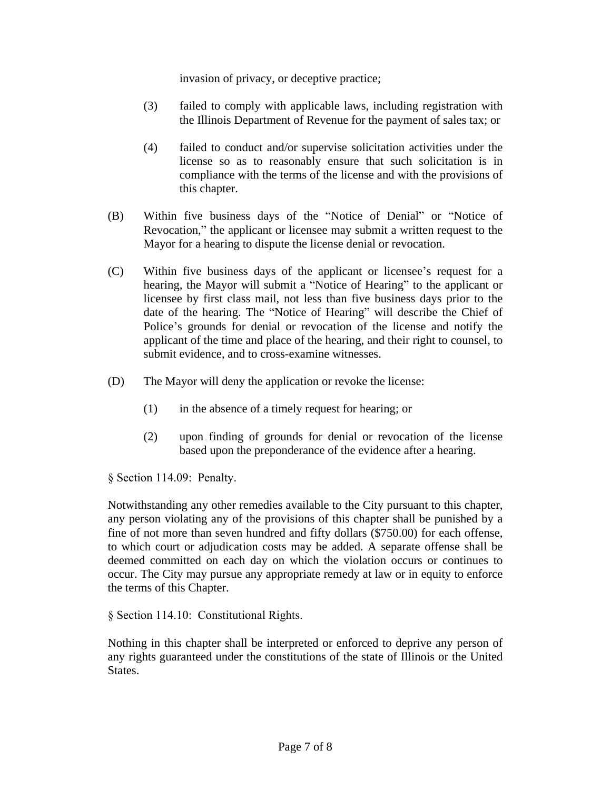invasion of privacy, or deceptive practice;

- (3) failed to comply with applicable laws, including registration with the Illinois Department of Revenue for the payment of sales tax; or
- (4) failed to conduct and/or supervise solicitation activities under the license so as to reasonably ensure that such solicitation is in compliance with the terms of the license and with the provisions of this chapter.
- (B) Within five business days of the "Notice of Denial" or "Notice of Revocation," the applicant or licensee may submit a written request to the Mayor for a hearing to dispute the license denial or revocation.
- (C) Within five business days of the applicant or licensee's request for a hearing, the Mayor will submit a "Notice of Hearing" to the applicant or licensee by first class mail, not less than five business days prior to the date of the hearing. The "Notice of Hearing" will describe the Chief of Police's grounds for denial or revocation of the license and notify the applicant of the time and place of the hearing, and their right to counsel, to submit evidence, and to cross-examine witnesses.
- (D) The Mayor will deny the application or revoke the license:
	- (1) in the absence of a timely request for hearing; or
	- (2) upon finding of grounds for denial or revocation of the license based upon the preponderance of the evidence after a hearing.

§ Section 114.09: Penalty.

Notwithstanding any other remedies available to the City pursuant to this chapter, any person violating any of the provisions of this chapter shall be punished by a fine of not more than seven hundred and fifty dollars (\$750.00) for each offense, to which court or adjudication costs may be added. A separate offense shall be deemed committed on each day on which the violation occurs or continues to occur. The City may pursue any appropriate remedy at law or in equity to enforce the terms of this Chapter.

§ Section 114.10: Constitutional Rights.

Nothing in this chapter shall be interpreted or enforced to deprive any person of any rights guaranteed under the constitutions of the state of Illinois or the United States.